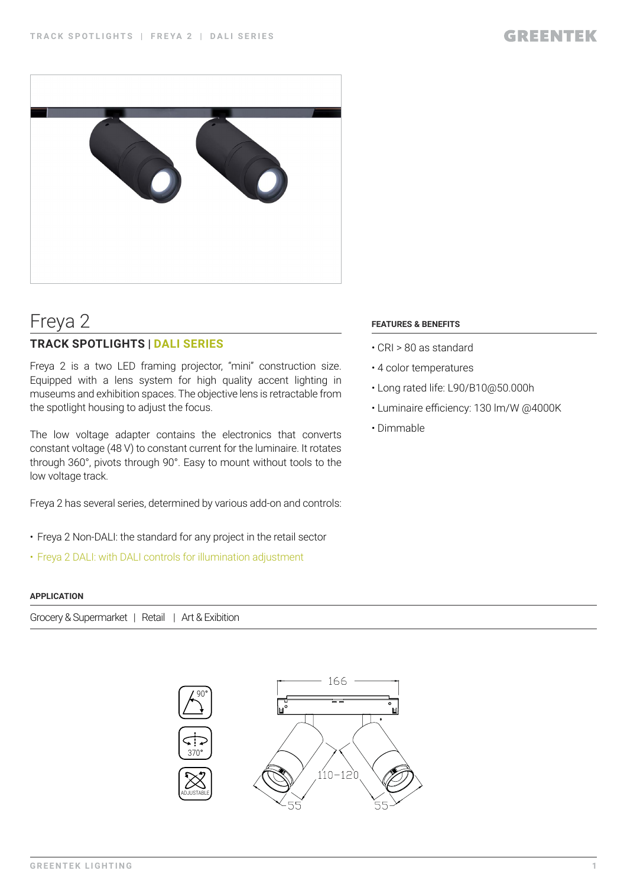

# Freya 2

### **TRACK SPOTLIGHTS | DALI SERIES**

Freya 2 is a two LED framing projector, "mini" construction size. Equipped with a lens system for high quality accent lighting in museums and exhibition spaces. The objective lens is retractable from the spotlight housing to adjust the focus.

The low voltage adapter contains the electronics that converts constant voltage (48 V) to constant current for the luminaire. It rotates through 360°, pivots through 90°. Easy to mount without tools to the low voltage track.

Freya 2 has several series, determined by various add-on and controls:

- Freya 2 Non-DALI: the standard for any project in the retail sector
- Freya 2 DALI: with DALI controls for illumination adjustment

#### **APPLICATION**

Grocery & Supermarket | Retail | Art & Exibition



#### **FEATURES & BENEFITS**

- CRI > 80 as standard
- 4 color temperatures
- Long rated life: L90/B10@50.000h
- Luminaire efficiency: 130 lm/W @4000K
- Dimmable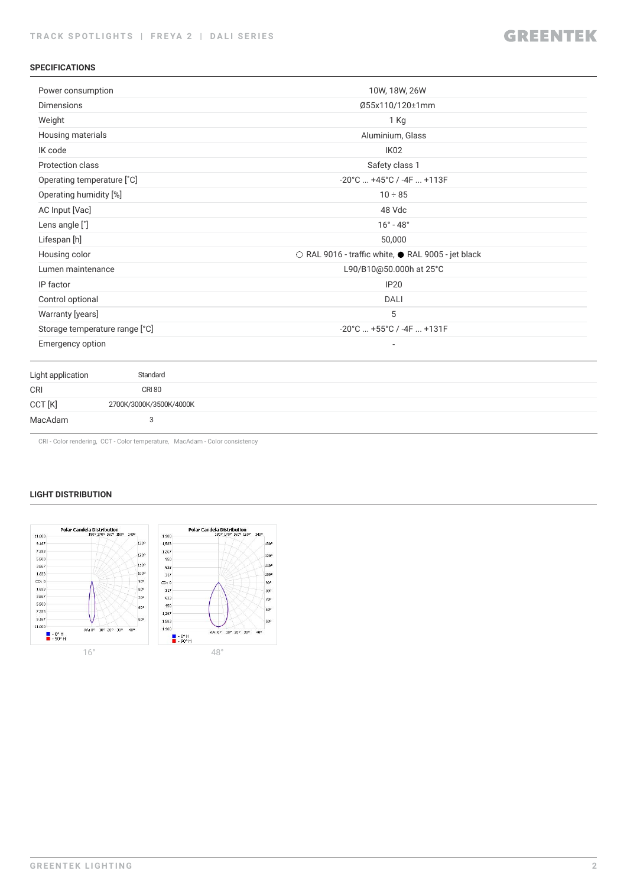#### **SPECIFICATIONS**

| Power consumption              |                         | 10W, 18W, 26W                                      |
|--------------------------------|-------------------------|----------------------------------------------------|
| <b>Dimensions</b>              |                         | Ø55x110/120±1mm                                    |
| Weight                         |                         | 1 Kg                                               |
| Housing materials              |                         | Aluminium, Glass                                   |
| IK code                        |                         | IK <sub>02</sub>                                   |
| Protection class               |                         | Safety class 1                                     |
| Operating temperature [°C]     |                         | $-20^{\circ}$ C $+45^{\circ}$ C / $-4$ F $+113$ F  |
| Operating humidity [%]         |                         | $10 \div 85$                                       |
| AC Input [Vac]                 |                         | 48 Vdc                                             |
| Lens angle [°]                 |                         | $16^\circ - 48^\circ$                              |
| Lifespan [h]                   |                         | 50,000                                             |
| Housing color                  |                         | ○ RAL 9016 - traffic white, ● RAL 9005 - jet black |
| Lumen maintenance              |                         | L90/B10@50.000h at 25°C                            |
| IP factor                      |                         | <b>IP20</b>                                        |
| Control optional               |                         | <b>DALI</b>                                        |
| Warranty [years]               |                         | 5                                                  |
| Storage temperature range [°C] |                         | $-20^{\circ}$ C $+55^{\circ}$ C / $-4F$ $+131F$    |
| Emergency option               |                         |                                                    |
| Light application              | Standard                |                                                    |
| <b>CRI</b>                     | <b>CRI 80</b>           |                                                    |
| CCT [K]                        | 2700K/3000K/3500K/4000K |                                                    |
| MacAdam                        | 3                       |                                                    |

CRI - Color rendering, CCT - Color temperature, MacAdam - Color consistency

#### **LIGHT DISTRIBUTION**

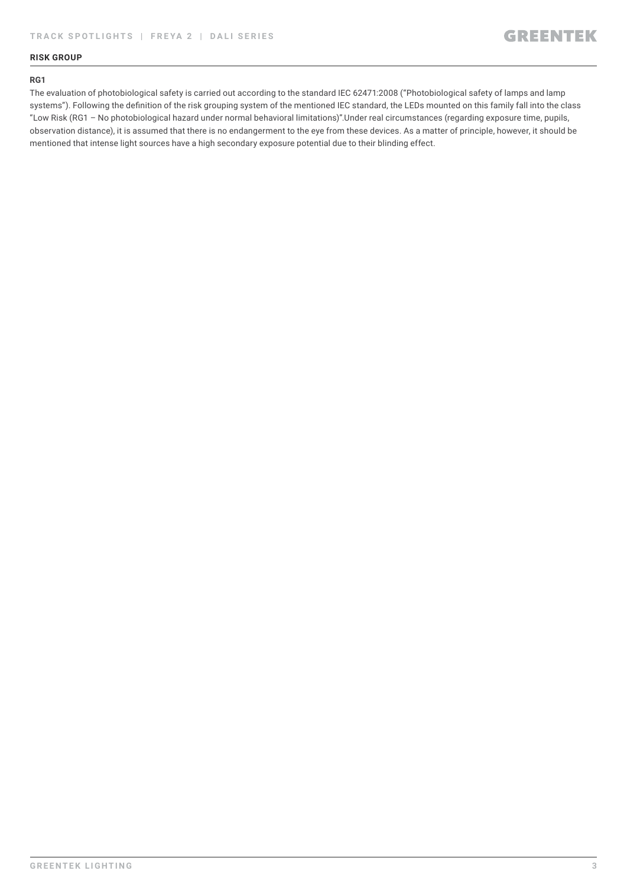#### **RISK GROUP**

#### **RG1**

The evaluation of photobiological safety is carried out according to the standard IEC 62471:2008 ("Photobiological safety of lamps and lamp systems"). Following the definition of the risk grouping system of the mentioned IEC standard, the LEDs mounted on this family fall into the class "Low Risk (RG1 – No photobiological hazard under normal behavioral limitations)".Under real circumstances (regarding exposure time, pupils, observation distance), it is assumed that there is no endangerment to the eye from these devices. As a matter of principle, however, it should be mentioned that intense light sources have a high secondary exposure potential due to their blinding effect.